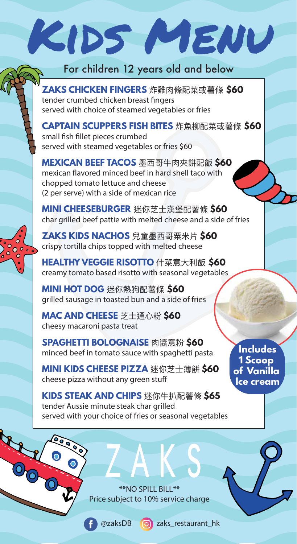## For children 12 years old and below

Kids Menu

**ZAKS CHICKEN FINGERS** 炸雞肉條配菜或薯條 **\$60** tender crumbed chicken breast fingers served with choice of steamed vegetables or fries

**CAPTAIN SCUPPERS FISH BITES** 炸魚柳配菜或薯條 **\$60** small fish fillet pieces crumbed served with steamed vegetables or fries \$60

**MEXICAN BEEF TACOS** 墨西哥牛肉夾餅配飯 **\$60** mexican flavored minced beef in hard shell taco with chopped tomato lettuce and cheese (2 per serve) with a side of mexican rice

**MINI CHEESEBURGER** 迷你芝士漢堡配薯條 **\$60** char grilled beef pattie with melted cheese and a side of fries

**ZAKS KIDS NACHOS** 兒童墨西哥粟米片 **\$60** crispy tortilla chips topped with melted cheese

**HEALTHY VEGGIE RISOTTO** 什菜意大利飯 **\$60** creamy tomato based risotto with seasonal vegetables

**MINI HOT DOG** 迷你熱狗配薯條 **\$60** grilled sausage in toasted bun and a side of fries

**MAC AND CHEESE** 芝士通心粉 **\$60** cheesy macaroni pasta treat

 $\overline{\mathbf{o}}$  $\frac{1}{2}$ 

> **SPAGHETTI BOLOGNAISE** 肉醬意粉 **\$60** minced beef in tomato sauce with spaghetti pasta

**MINI KIDS CHEESE PIZZA** 迷你芝士薄餅 **\$60** cheese pizza without any green stu

**KIDS STEAK AND CHIPS** 迷你牛扒配薯條 **\$65** tender Aussie minute steak char grilled served with your choice of fries or seasonal vegetables

> \*\*NO SPILL BILL\*\* Price subject to 10% service charge

@zaksDB zaks\_restaurant\_hk

**Includes 1 Scoop of Vanilla Ice cream**